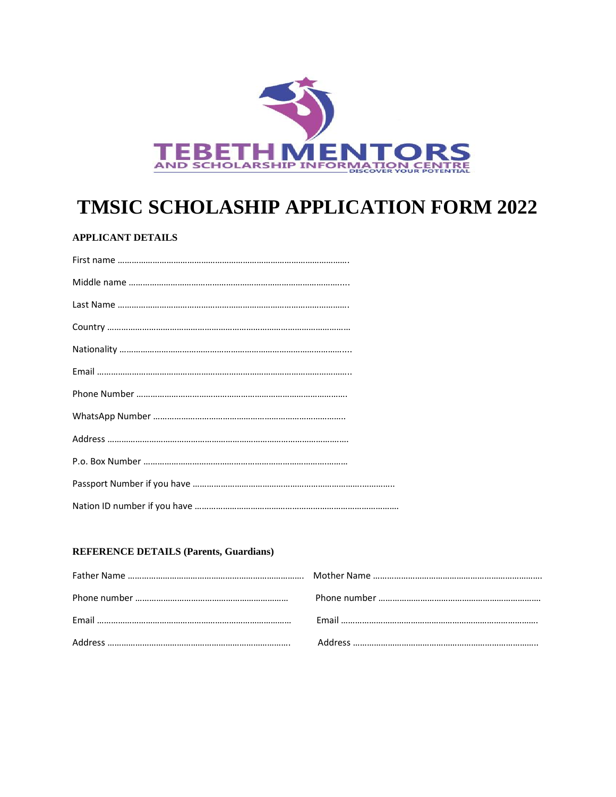

# **TMSIC SCHOLASHIP APPLICATION FORM 2022**

## **APPLICANT DETAILS**

### **REFERENCE DETAILS (Parents, Guardians)**